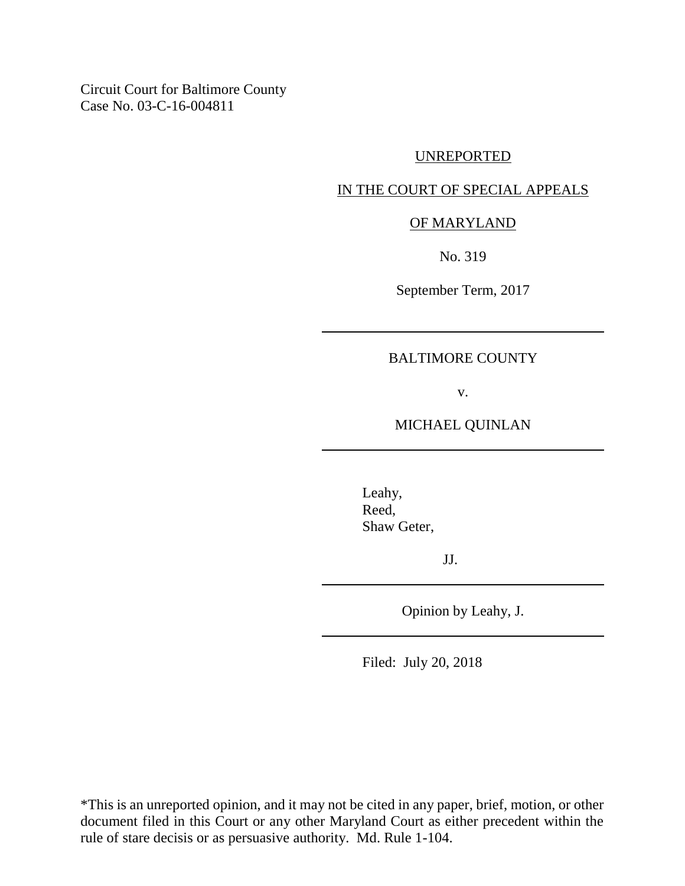Circuit Court for Baltimore County Case No. 03-C-16-004811

#### UNREPORTED

#### IN THE COURT OF SPECIAL APPEALS

### OF MARYLAND

No. 319

September Term, 2017

#### BALTIMORE COUNTY

v.

MICHAEL QUINLAN

Leahy, Reed, Shaw Geter,

JJ.

Opinion by Leahy, J.

Filed: July 20, 2018

\*This is an unreported opinion, and it may not be cited in any paper, brief, motion, or other document filed in this Court or any other Maryland Court as either precedent within the rule of stare decisis or as persuasive authority. Md. Rule 1-104.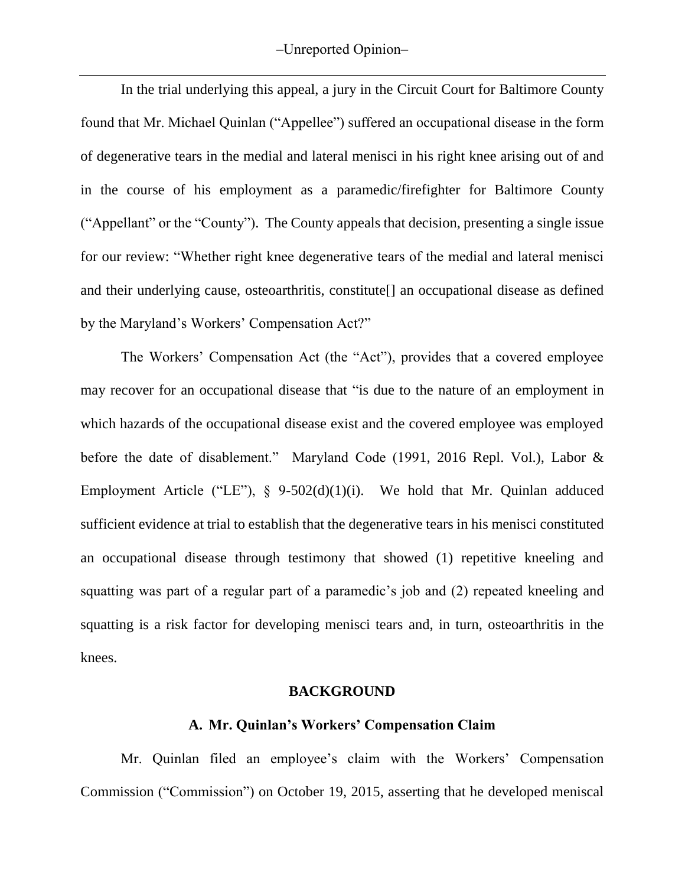In the trial underlying this appeal, a jury in the Circuit Court for Baltimore County found that Mr. Michael Quinlan ("Appellee") suffered an occupational disease in the form of degenerative tears in the medial and lateral menisci in his right knee arising out of and in the course of his employment as a paramedic/firefighter for Baltimore County ("Appellant" or the "County"). The County appeals that decision, presenting a single issue for our review: "Whether right knee degenerative tears of the medial and lateral menisci and their underlying cause, osteoarthritis, constitute[] an occupational disease as defined by the Maryland's Workers' Compensation Act?"

The Workers' Compensation Act (the "Act"), provides that a covered employee may recover for an occupational disease that "is due to the nature of an employment in which hazards of the occupational disease exist and the covered employee was employed before the date of disablement." Maryland Code (1991, 2016 Repl. Vol.), Labor & Employment Article ("LE"), § 9-502(d)(1)(i). We hold that Mr. Quinlan adduced sufficient evidence at trial to establish that the degenerative tears in his menisci constituted an occupational disease through testimony that showed (1) repetitive kneeling and squatting was part of a regular part of a paramedic's job and (2) repeated kneeling and squatting is a risk factor for developing menisci tears and, in turn, osteoarthritis in the knees.

#### **BACKGROUND**

#### **A. Mr. Quinlan's Workers' Compensation Claim**

Mr. Quinlan filed an employee's claim with the Workers' Compensation Commission ("Commission") on October 19, 2015, asserting that he developed meniscal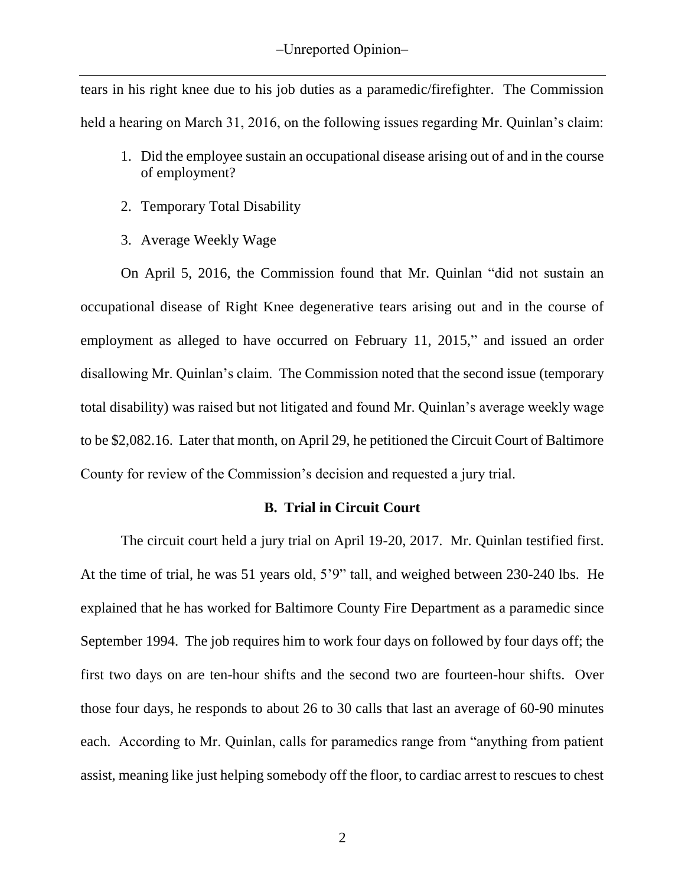tears in his right knee due to his job duties as a paramedic/firefighter. The Commission held a hearing on March 31, 2016, on the following issues regarding Mr. Quinlan's claim:

- 1. Did the employee sustain an occupational disease arising out of and in the course of employment?
- 2. Temporary Total Disability
- 3. Average Weekly Wage

On April 5, 2016, the Commission found that Mr. Quinlan "did not sustain an occupational disease of Right Knee degenerative tears arising out and in the course of employment as alleged to have occurred on February 11, 2015," and issued an order disallowing Mr. Quinlan's claim. The Commission noted that the second issue (temporary total disability) was raised but not litigated and found Mr. Quinlan's average weekly wage to be \$2,082.16. Later that month, on April 29, he petitioned the Circuit Court of Baltimore County for review of the Commission's decision and requested a jury trial.

### **B. Trial in Circuit Court**

The circuit court held a jury trial on April 19-20, 2017. Mr. Quinlan testified first. At the time of trial, he was 51 years old, 5'9" tall, and weighed between 230-240 lbs. He explained that he has worked for Baltimore County Fire Department as a paramedic since September 1994. The job requires him to work four days on followed by four days off; the first two days on are ten-hour shifts and the second two are fourteen-hour shifts. Over those four days, he responds to about 26 to 30 calls that last an average of 60-90 minutes each. According to Mr. Quinlan, calls for paramedics range from "anything from patient assist, meaning like just helping somebody off the floor, to cardiac arrest to rescues to chest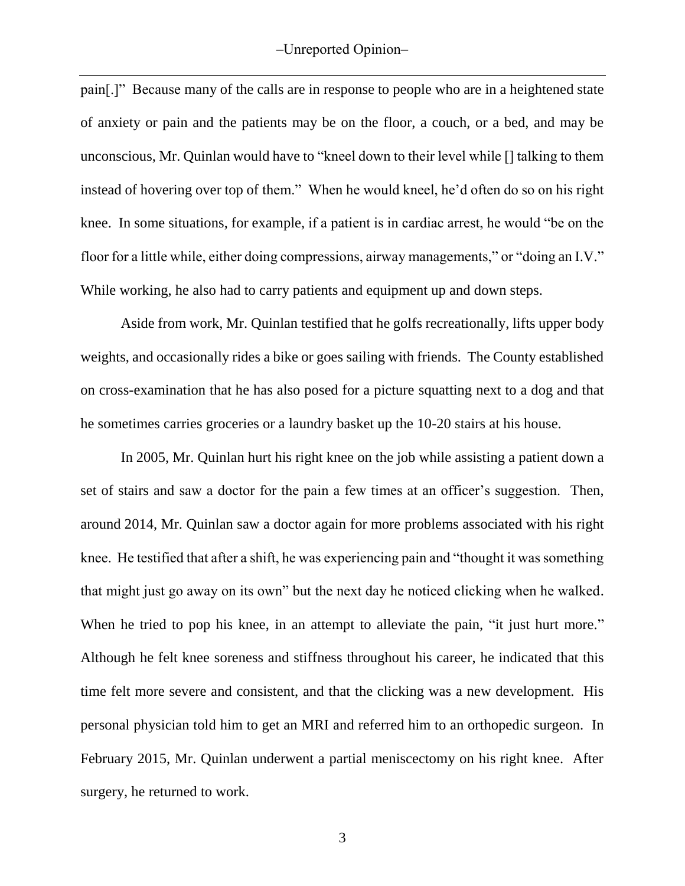pain[.]" Because many of the calls are in response to people who are in a heightened state of anxiety or pain and the patients may be on the floor, a couch, or a bed, and may be unconscious, Mr. Quinlan would have to "kneel down to their level while [] talking to them instead of hovering over top of them." When he would kneel, he'd often do so on his right knee. In some situations, for example, if a patient is in cardiac arrest, he would "be on the floor for a little while, either doing compressions, airway managements," or "doing an I.V." While working, he also had to carry patients and equipment up and down steps.

Aside from work, Mr. Quinlan testified that he golfs recreationally, lifts upper body weights, and occasionally rides a bike or goes sailing with friends. The County established on cross-examination that he has also posed for a picture squatting next to a dog and that he sometimes carries groceries or a laundry basket up the 10-20 stairs at his house.

In 2005, Mr. Quinlan hurt his right knee on the job while assisting a patient down a set of stairs and saw a doctor for the pain a few times at an officer's suggestion. Then, around 2014, Mr. Quinlan saw a doctor again for more problems associated with his right knee. He testified that after a shift, he was experiencing pain and "thought it was something that might just go away on its own" but the next day he noticed clicking when he walked. When he tried to pop his knee, in an attempt to alleviate the pain, "it just hurt more." Although he felt knee soreness and stiffness throughout his career, he indicated that this time felt more severe and consistent, and that the clicking was a new development. His personal physician told him to get an MRI and referred him to an orthopedic surgeon. In February 2015, Mr. Quinlan underwent a partial meniscectomy on his right knee. After surgery, he returned to work.

3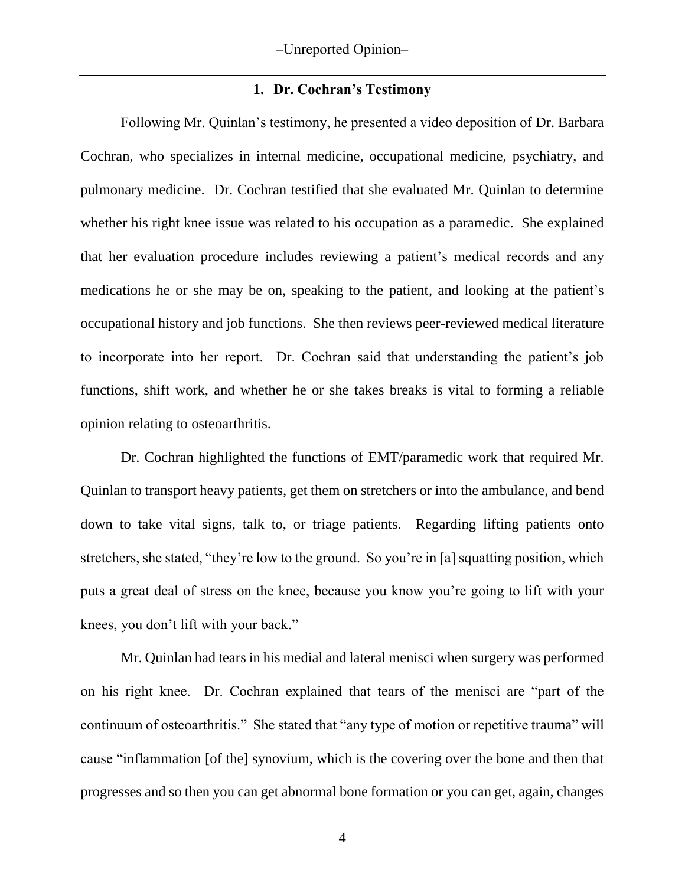### **1. Dr. Cochran's Testimony**

Following Mr. Quinlan's testimony, he presented a video deposition of Dr. Barbara Cochran, who specializes in internal medicine, occupational medicine, psychiatry, and pulmonary medicine. Dr. Cochran testified that she evaluated Mr. Quinlan to determine whether his right knee issue was related to his occupation as a paramedic. She explained that her evaluation procedure includes reviewing a patient's medical records and any medications he or she may be on, speaking to the patient, and looking at the patient's occupational history and job functions. She then reviews peer-reviewed medical literature to incorporate into her report. Dr. Cochran said that understanding the patient's job functions, shift work, and whether he or she takes breaks is vital to forming a reliable opinion relating to osteoarthritis.

Dr. Cochran highlighted the functions of EMT/paramedic work that required Mr. Quinlan to transport heavy patients, get them on stretchers or into the ambulance, and bend down to take vital signs, talk to, or triage patients. Regarding lifting patients onto stretchers, she stated, "they're low to the ground. So you're in [a] squatting position, which puts a great deal of stress on the knee, because you know you're going to lift with your knees, you don't lift with your back."

Mr. Quinlan had tears in his medial and lateral menisci when surgery was performed on his right knee. Dr. Cochran explained that tears of the menisci are "part of the continuum of osteoarthritis." She stated that "any type of motion or repetitive trauma" will cause "inflammation [of the] synovium, which is the covering over the bone and then that progresses and so then you can get abnormal bone formation or you can get, again, changes

4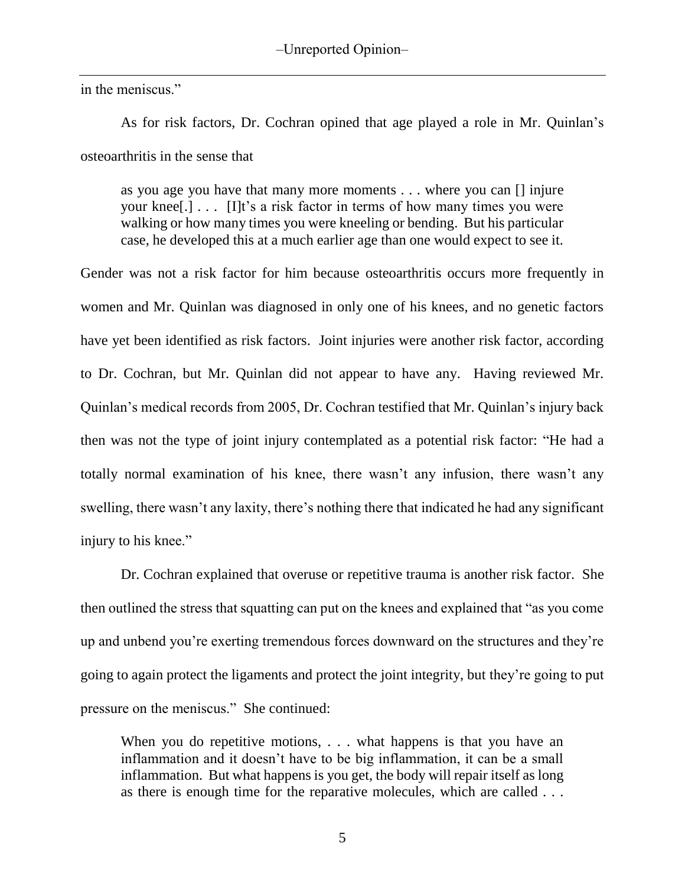in the meniscus."

As for risk factors, Dr. Cochran opined that age played a role in Mr. Quinlan's osteoarthritis in the sense that

as you age you have that many more moments . . . where you can [] injure your knee[.] . . . [I]t's a risk factor in terms of how many times you were walking or how many times you were kneeling or bending. But his particular case, he developed this at a much earlier age than one would expect to see it.

Gender was not a risk factor for him because osteoarthritis occurs more frequently in women and Mr. Quinlan was diagnosed in only one of his knees, and no genetic factors have yet been identified as risk factors. Joint injuries were another risk factor, according to Dr. Cochran, but Mr. Quinlan did not appear to have any. Having reviewed Mr. Quinlan's medical records from 2005, Dr. Cochran testified that Mr. Quinlan's injury back then was not the type of joint injury contemplated as a potential risk factor: "He had a totally normal examination of his knee, there wasn't any infusion, there wasn't any swelling, there wasn't any laxity, there's nothing there that indicated he had any significant injury to his knee."

Dr. Cochran explained that overuse or repetitive trauma is another risk factor. She then outlined the stress that squatting can put on the knees and explained that "as you come up and unbend you're exerting tremendous forces downward on the structures and they're going to again protect the ligaments and protect the joint integrity, but they're going to put pressure on the meniscus." She continued:

When you do repetitive motions, . . . what happens is that you have an inflammation and it doesn't have to be big inflammation, it can be a small inflammation. But what happens is you get, the body will repair itself as long as there is enough time for the reparative molecules, which are called . . .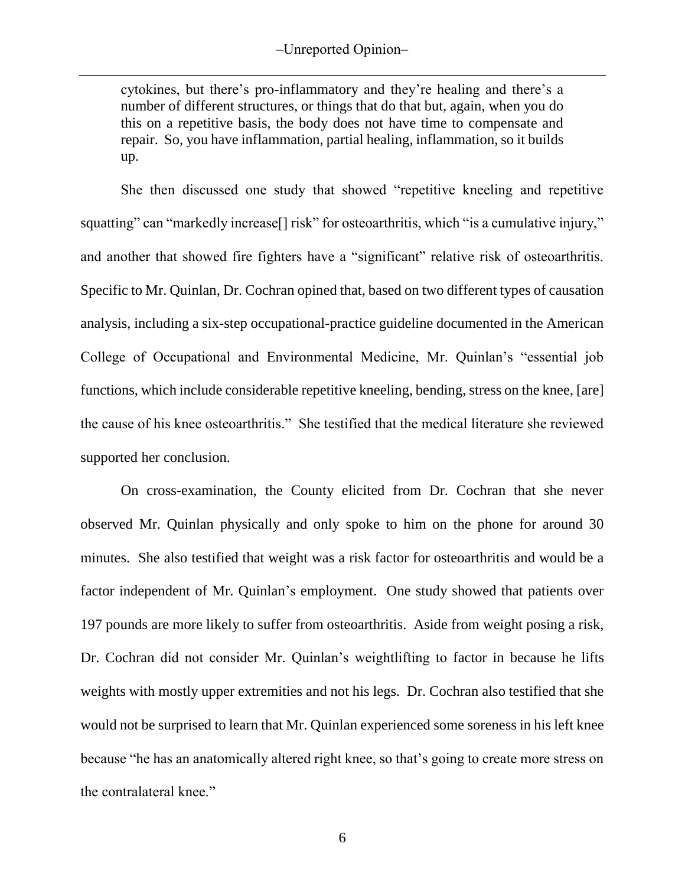cytokines, but there's pro-inflammatory and they're healing and there's a number of different structures, or things that do that but, again, when you do this on a repetitive basis, the body does not have time to compensate and repair. So, you have inflammation, partial healing, inflammation, so it builds up.

She then discussed one study that showed "repetitive kneeling and repetitive squatting" can "markedly increase<sup>[]</sup> risk" for osteoarthritis, which "is a cumulative injury," and another that showed fire fighters have a "significant" relative risk of osteoarthritis. Specific to Mr. Quinlan, Dr. Cochran opined that, based on two different types of causation analysis, including a six-step occupational-practice guideline documented in the American College of Occupational and Environmental Medicine, Mr. Quinlan's "essential job functions, which include considerable repetitive kneeling, bending, stress on the knee, [are] the cause of his knee osteoarthritis." She testified that the medical literature she reviewed supported her conclusion.

On cross-examination, the County elicited from Dr. Cochran that she never observed Mr. Quinlan physically and only spoke to him on the phone for around 30 minutes. She also testified that weight was a risk factor for osteoarthritis and would be a factor independent of Mr. Quinlan's employment. One study showed that patients over 197 pounds are more likely to suffer from osteoarthritis. Aside from weight posing a risk, Dr. Cochran did not consider Mr. Quinlan's weightlifting to factor in because he lifts weights with mostly upper extremities and not his legs. Dr. Cochran also testified that she would not be surprised to learn that Mr. Quinlan experienced some soreness in his left knee because "he has an anatomically altered right knee, so that's going to create more stress on the contralateral knee."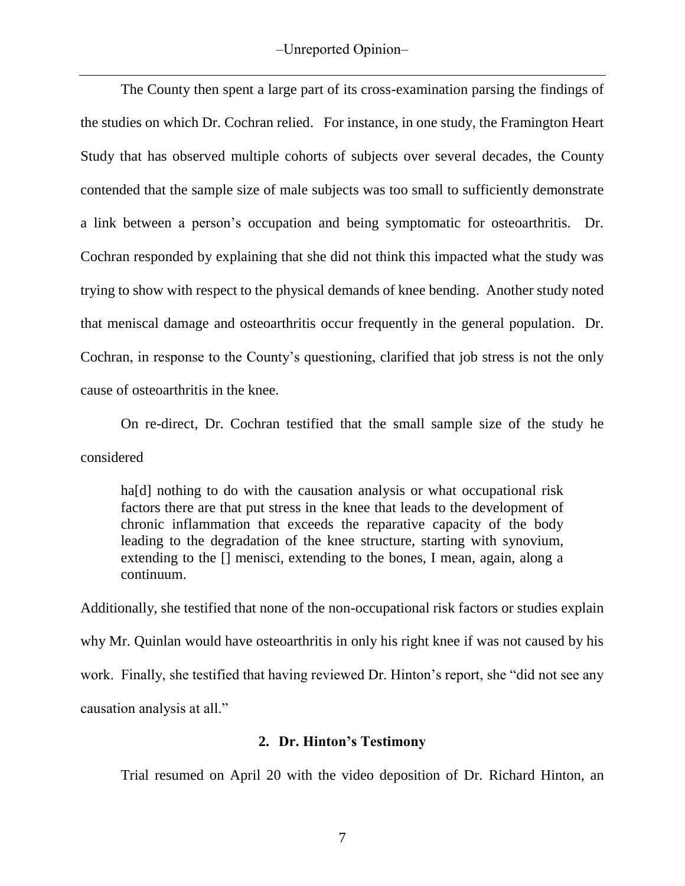The County then spent a large part of its cross-examination parsing the findings of the studies on which Dr. Cochran relied. For instance, in one study, the Framington Heart Study that has observed multiple cohorts of subjects over several decades, the County contended that the sample size of male subjects was too small to sufficiently demonstrate a link between a person's occupation and being symptomatic for osteoarthritis. Dr. Cochran responded by explaining that she did not think this impacted what the study was trying to show with respect to the physical demands of knee bending. Another study noted that meniscal damage and osteoarthritis occur frequently in the general population. Dr. Cochran, in response to the County's questioning, clarified that job stress is not the only cause of osteoarthritis in the knee.

On re-direct, Dr. Cochran testified that the small sample size of the study he considered

ha[d] nothing to do with the causation analysis or what occupational risk factors there are that put stress in the knee that leads to the development of chronic inflammation that exceeds the reparative capacity of the body leading to the degradation of the knee structure, starting with synovium, extending to the [] menisci, extending to the bones, I mean, again, along a continuum.

Additionally, she testified that none of the non-occupational risk factors or studies explain why Mr. Quinlan would have osteoarthritis in only his right knee if was not caused by his work. Finally, she testified that having reviewed Dr. Hinton's report, she "did not see any causation analysis at all."

## **2. Dr. Hinton's Testimony**

Trial resumed on April 20 with the video deposition of Dr. Richard Hinton, an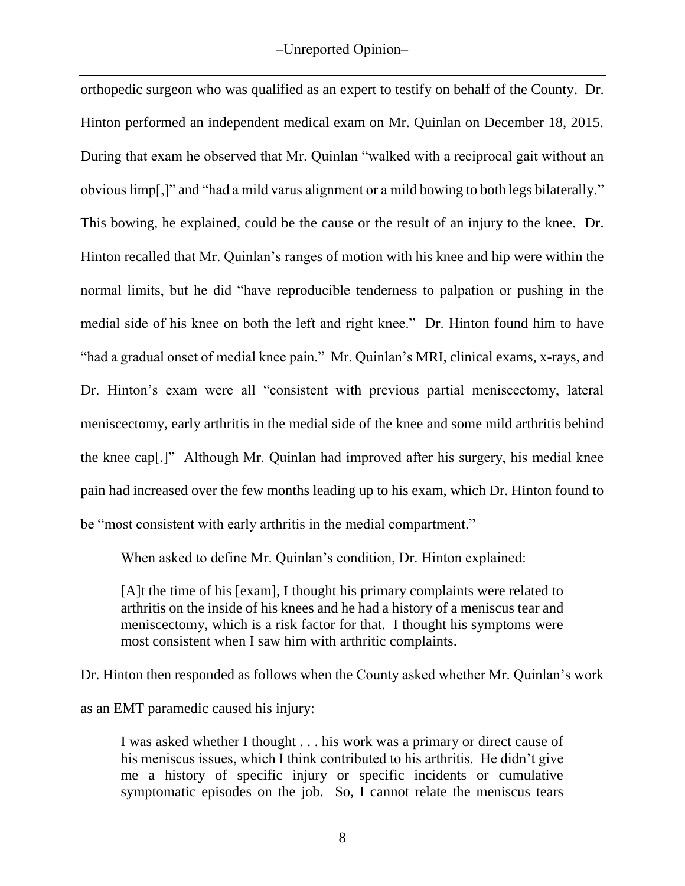orthopedic surgeon who was qualified as an expert to testify on behalf of the County. Dr. Hinton performed an independent medical exam on Mr. Quinlan on December 18, 2015. During that exam he observed that Mr. Quinlan "walked with a reciprocal gait without an obvious limp[,]" and "had a mild varus alignment or a mild bowing to both legs bilaterally." This bowing, he explained, could be the cause or the result of an injury to the knee. Dr. Hinton recalled that Mr. Quinlan's ranges of motion with his knee and hip were within the normal limits, but he did "have reproducible tenderness to palpation or pushing in the medial side of his knee on both the left and right knee." Dr. Hinton found him to have "had a gradual onset of medial knee pain." Mr. Quinlan's MRI, clinical exams, x-rays, and Dr. Hinton's exam were all "consistent with previous partial meniscectomy, lateral meniscectomy, early arthritis in the medial side of the knee and some mild arthritis behind the knee cap[.]" Although Mr. Quinlan had improved after his surgery, his medial knee pain had increased over the few months leading up to his exam, which Dr. Hinton found to be "most consistent with early arthritis in the medial compartment."

When asked to define Mr. Quinlan's condition, Dr. Hinton explained:

[A]t the time of his [exam], I thought his primary complaints were related to arthritis on the inside of his knees and he had a history of a meniscus tear and meniscectomy, which is a risk factor for that. I thought his symptoms were most consistent when I saw him with arthritic complaints.

Dr. Hinton then responded as follows when the County asked whether Mr. Quinlan's work as an EMT paramedic caused his injury:

I was asked whether I thought . . . his work was a primary or direct cause of his meniscus issues, which I think contributed to his arthritis. He didn't give me a history of specific injury or specific incidents or cumulative symptomatic episodes on the job. So, I cannot relate the meniscus tears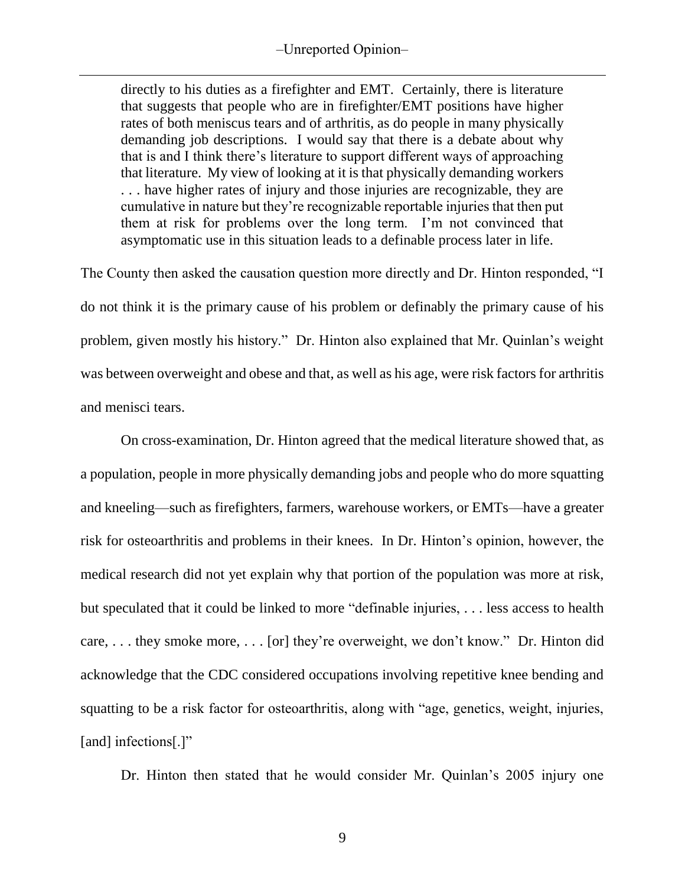directly to his duties as a firefighter and EMT. Certainly, there is literature that suggests that people who are in firefighter/EMT positions have higher rates of both meniscus tears and of arthritis, as do people in many physically demanding job descriptions. I would say that there is a debate about why that is and I think there's literature to support different ways of approaching that literature. My view of looking at it is that physically demanding workers . . . have higher rates of injury and those injuries are recognizable, they are cumulative in nature but they're recognizable reportable injuries that then put them at risk for problems over the long term. I'm not convinced that asymptomatic use in this situation leads to a definable process later in life.

The County then asked the causation question more directly and Dr. Hinton responded, "I do not think it is the primary cause of his problem or definably the primary cause of his problem, given mostly his history." Dr. Hinton also explained that Mr. Quinlan's weight was between overweight and obese and that, as well as his age, were risk factors for arthritis and menisci tears.

On cross-examination, Dr. Hinton agreed that the medical literature showed that, as a population, people in more physically demanding jobs and people who do more squatting and kneeling—such as firefighters, farmers, warehouse workers, or EMTs—have a greater risk for osteoarthritis and problems in their knees. In Dr. Hinton's opinion, however, the medical research did not yet explain why that portion of the population was more at risk, but speculated that it could be linked to more "definable injuries, . . . less access to health care, . . . they smoke more, . . . [or] they're overweight, we don't know." Dr. Hinton did acknowledge that the CDC considered occupations involving repetitive knee bending and squatting to be a risk factor for osteoarthritis, along with "age, genetics, weight, injuries, [and] infections[.]"

Dr. Hinton then stated that he would consider Mr. Quinlan's 2005 injury one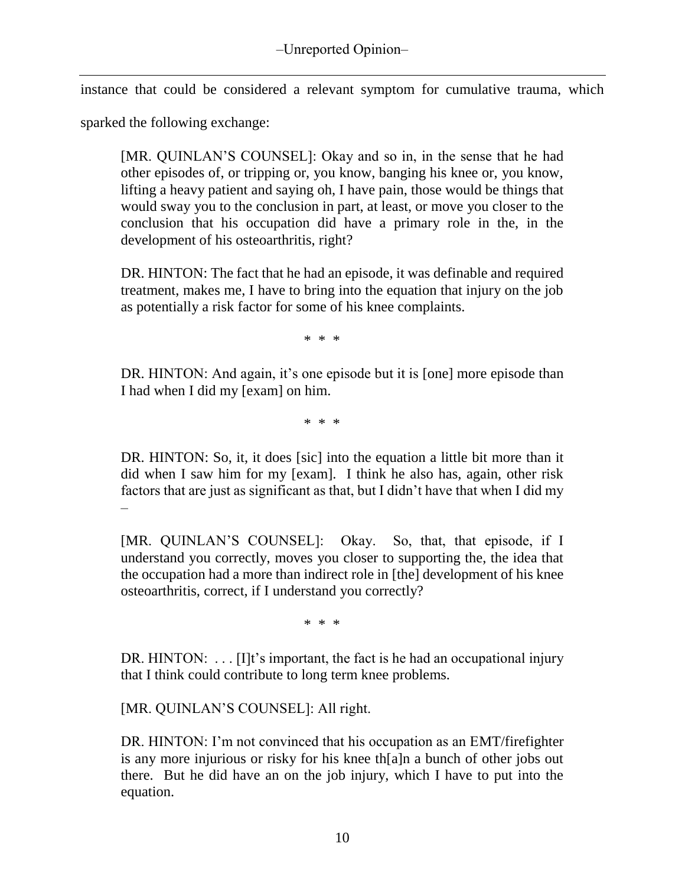instance that could be considered a relevant symptom for cumulative trauma, which

sparked the following exchange:

[MR. QUINLAN'S COUNSEL]: Okay and so in, in the sense that he had other episodes of, or tripping or, you know, banging his knee or, you know, lifting a heavy patient and saying oh, I have pain, those would be things that would sway you to the conclusion in part, at least, or move you closer to the conclusion that his occupation did have a primary role in the, in the development of his osteoarthritis, right?

DR. HINTON: The fact that he had an episode, it was definable and required treatment, makes me, I have to bring into the equation that injury on the job as potentially a risk factor for some of his knee complaints.

\* \* \*

DR. HINTON: And again, it's one episode but it is [one] more episode than I had when I did my [exam] on him.

\* \* \*

DR. HINTON: So, it, it does [sic] into the equation a little bit more than it did when I saw him for my [exam]. I think he also has, again, other risk factors that are just as significant as that, but I didn't have that when I did my –

[MR. QUINLAN'S COUNSEL]: Okay. So, that, that episode, if I understand you correctly, moves you closer to supporting the, the idea that the occupation had a more than indirect role in [the] development of his knee osteoarthritis, correct, if I understand you correctly?

\* \* \*

DR. HINTON: ... [I]t's important, the fact is he had an occupational injury that I think could contribute to long term knee problems.

[MR. QUINLAN'S COUNSEL]: All right.

DR. HINTON: I'm not convinced that his occupation as an EMT/firefighter is any more injurious or risky for his knee th[a]n a bunch of other jobs out there. But he did have an on the job injury, which I have to put into the equation.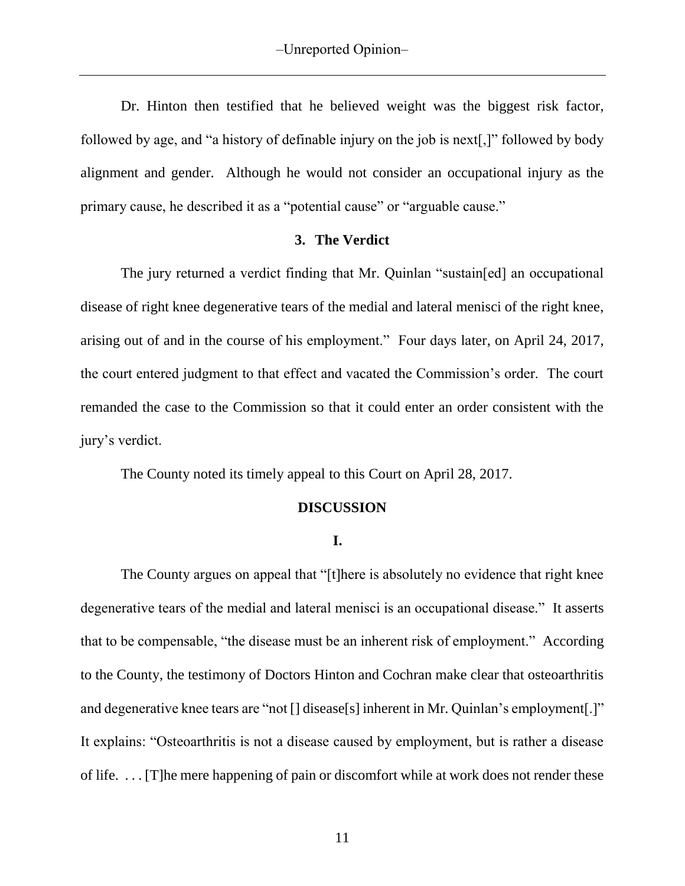Dr. Hinton then testified that he believed weight was the biggest risk factor, followed by age, and "a history of definable injury on the job is next[,]" followed by body alignment and gender. Although he would not consider an occupational injury as the primary cause, he described it as a "potential cause" or "arguable cause."

### **3. The Verdict**

The jury returned a verdict finding that Mr. Quinlan "sustain[ed] an occupational disease of right knee degenerative tears of the medial and lateral menisci of the right knee, arising out of and in the course of his employment." Four days later, on April 24, 2017, the court entered judgment to that effect and vacated the Commission's order. The court remanded the case to the Commission so that it could enter an order consistent with the jury's verdict.

The County noted its timely appeal to this Court on April 28, 2017.

#### **DISCUSSION**

#### **I.**

The County argues on appeal that "[t]here is absolutely no evidence that right knee degenerative tears of the medial and lateral menisci is an occupational disease." It asserts that to be compensable, "the disease must be an inherent risk of employment." According to the County, the testimony of Doctors Hinton and Cochran make clear that osteoarthritis and degenerative knee tears are "not [] disease[s] inherent in Mr. Quinlan's employment[.]" It explains: "Osteoarthritis is not a disease caused by employment, but is rather a disease of life. . . . [T]he mere happening of pain or discomfort while at work does not render these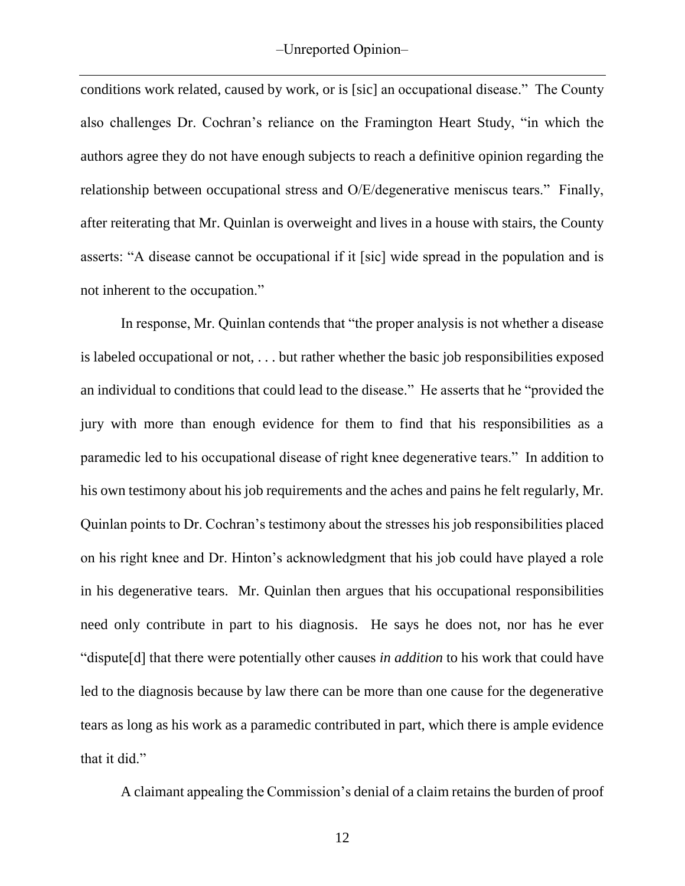conditions work related, caused by work, or is [sic] an occupational disease." The County also challenges Dr. Cochran's reliance on the Framington Heart Study, "in which the authors agree they do not have enough subjects to reach a definitive opinion regarding the relationship between occupational stress and O/E/degenerative meniscus tears." Finally, after reiterating that Mr. Quinlan is overweight and lives in a house with stairs, the County asserts: "A disease cannot be occupational if it [sic] wide spread in the population and is not inherent to the occupation."

In response, Mr. Quinlan contends that "the proper analysis is not whether a disease is labeled occupational or not, . . . but rather whether the basic job responsibilities exposed an individual to conditions that could lead to the disease." He asserts that he "provided the jury with more than enough evidence for them to find that his responsibilities as a paramedic led to his occupational disease of right knee degenerative tears." In addition to his own testimony about his job requirements and the aches and pains he felt regularly, Mr. Quinlan points to Dr. Cochran's testimony about the stresses his job responsibilities placed on his right knee and Dr. Hinton's acknowledgment that his job could have played a role in his degenerative tears. Mr. Quinlan then argues that his occupational responsibilities need only contribute in part to his diagnosis. He says he does not, nor has he ever "dispute[d] that there were potentially other causes *in addition* to his work that could have led to the diagnosis because by law there can be more than one cause for the degenerative tears as long as his work as a paramedic contributed in part, which there is ample evidence that it did."

A claimant appealing the Commission's denial of a claim retains the burden of proof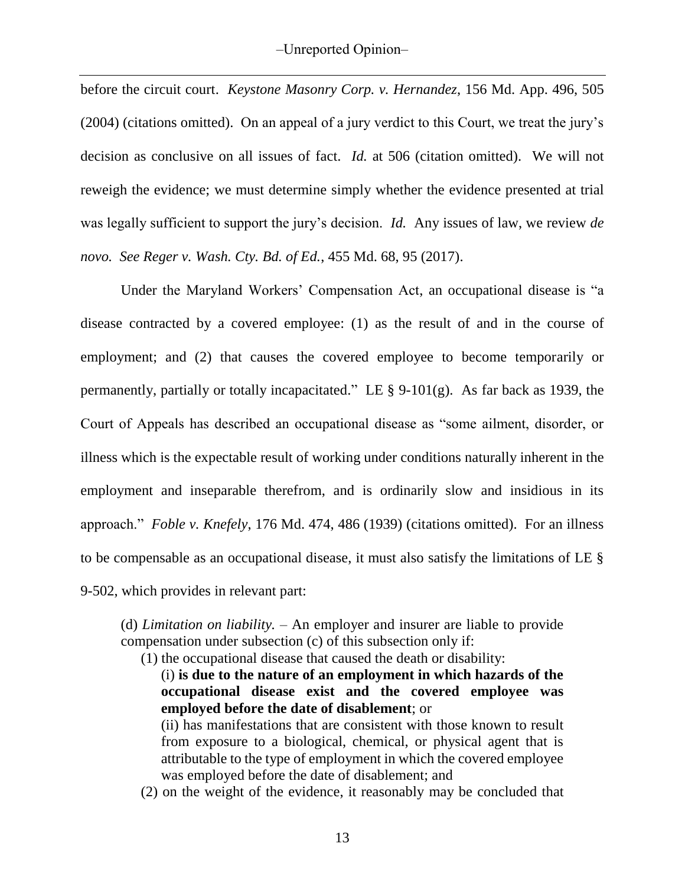before the circuit court. *Keystone Masonry Corp. v. Hernandez*, 156 Md. App. 496, 505 (2004) (citations omitted). On an appeal of a jury verdict to this Court, we treat the jury's decision as conclusive on all issues of fact. *Id.* at 506 (citation omitted). We will not reweigh the evidence; we must determine simply whether the evidence presented at trial was legally sufficient to support the jury's decision. *Id.* Any issues of law, we review *de novo. See Reger v. Wash. Cty. Bd. of Ed.*, 455 Md. 68, 95 (2017).

Under the Maryland Workers' Compensation Act, an occupational disease is "a disease contracted by a covered employee: (1) as the result of and in the course of employment; and (2) that causes the covered employee to become temporarily or permanently, partially or totally incapacitated." LE  $\S$  9-101(g). As far back as 1939, the Court of Appeals has described an occupational disease as "some ailment, disorder, or illness which is the expectable result of working under conditions naturally inherent in the employment and inseparable therefrom, and is ordinarily slow and insidious in its approach." *Foble v. Knefely*, 176 Md. 474, 486 (1939) (citations omitted). For an illness to be compensable as an occupational disease, it must also satisfy the limitations of LE § 9-502, which provides in relevant part:

(d) *Limitation on liability. –* An employer and insurer are liable to provide compensation under subsection (c) of this subsection only if:

- (1) the occupational disease that caused the death or disability:
	- (i) **is due to the nature of an employment in which hazards of the occupational disease exist and the covered employee was employed before the date of disablement**; or

(ii) has manifestations that are consistent with those known to result from exposure to a biological, chemical, or physical agent that is attributable to the type of employment in which the covered employee was employed before the date of disablement; and

(2) on the weight of the evidence, it reasonably may be concluded that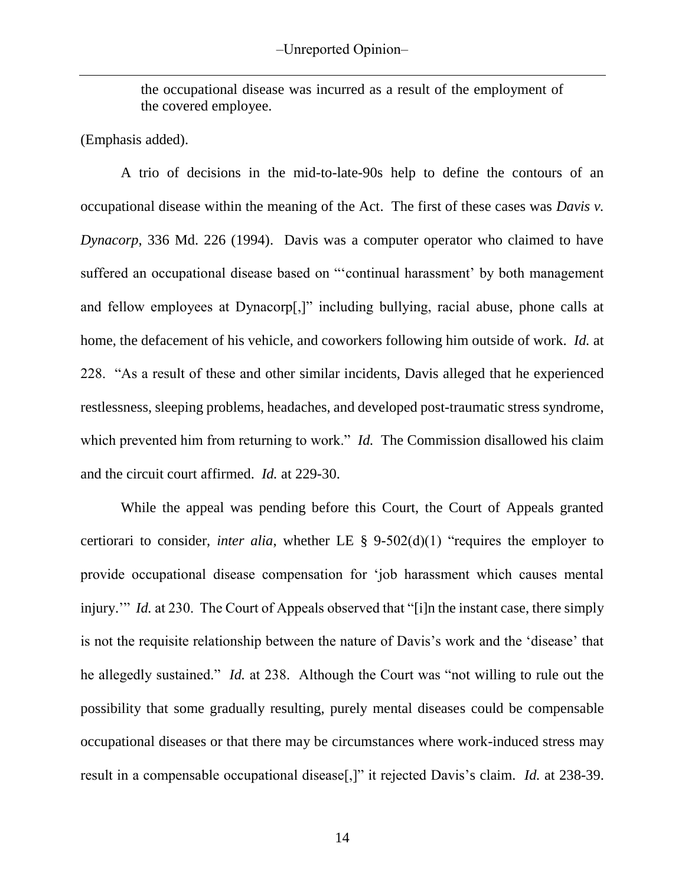the occupational disease was incurred as a result of the employment of the covered employee.

(Emphasis added).

A trio of decisions in the mid-to-late-90s help to define the contours of an occupational disease within the meaning of the Act. The first of these cases was *Davis v. Dynacorp*, 336 Md. 226 (1994). Davis was a computer operator who claimed to have suffered an occupational disease based on "'continual harassment' by both management and fellow employees at Dynacorp[,]" including bullying, racial abuse, phone calls at home, the defacement of his vehicle, and coworkers following him outside of work. *Id.* at 228. "As a result of these and other similar incidents, Davis alleged that he experienced restlessness, sleeping problems, headaches, and developed post-traumatic stress syndrome, which prevented him from returning to work." *Id.* The Commission disallowed his claim and the circuit court affirmed. *Id.* at 229-30.

While the appeal was pending before this Court, the Court of Appeals granted certiorari to consider, *inter alia*, whether LE § 9-502(d)(1) "requires the employer to provide occupational disease compensation for 'job harassment which causes mental injury." *Id.* at 230. The Court of Appeals observed that "[i]n the instant case, there simply is not the requisite relationship between the nature of Davis's work and the 'disease' that he allegedly sustained." *Id.* at 238. Although the Court was "not willing to rule out the possibility that some gradually resulting, purely mental diseases could be compensable occupational diseases or that there may be circumstances where work-induced stress may result in a compensable occupational disease[,]" it rejected Davis's claim. *Id.* at 238-39.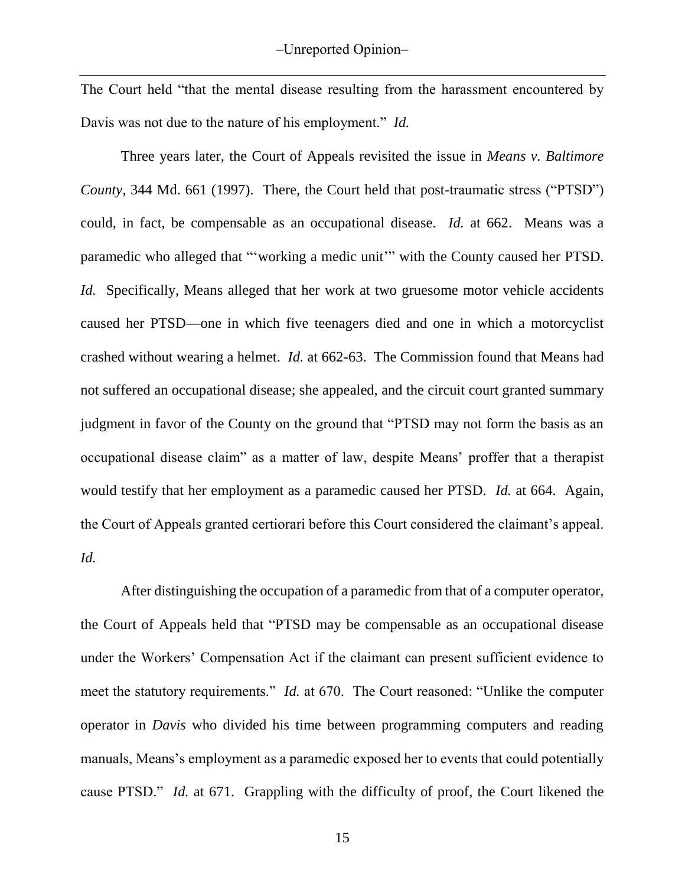The Court held "that the mental disease resulting from the harassment encountered by Davis was not due to the nature of his employment." *Id.* 

Three years later, the Court of Appeals revisited the issue in *Means v. Baltimore County*, 344 Md. 661 (1997). There, the Court held that post-traumatic stress ("PTSD") could, in fact, be compensable as an occupational disease. *Id.* at 662. Means was a paramedic who alleged that "'working a medic unit'" with the County caused her PTSD. *Id.* Specifically, Means alleged that her work at two gruesome motor vehicle accidents caused her PTSD—one in which five teenagers died and one in which a motorcyclist crashed without wearing a helmet. *Id.* at 662-63. The Commission found that Means had not suffered an occupational disease; she appealed, and the circuit court granted summary judgment in favor of the County on the ground that "PTSD may not form the basis as an occupational disease claim" as a matter of law, despite Means' proffer that a therapist would testify that her employment as a paramedic caused her PTSD. *Id.* at 664. Again, the Court of Appeals granted certiorari before this Court considered the claimant's appeal. *Id.* 

After distinguishing the occupation of a paramedic from that of a computer operator, the Court of Appeals held that "PTSD may be compensable as an occupational disease under the Workers' Compensation Act if the claimant can present sufficient evidence to meet the statutory requirements." *Id.* at 670. The Court reasoned: "Unlike the computer operator in *Davis* who divided his time between programming computers and reading manuals, Means's employment as a paramedic exposed her to events that could potentially cause PTSD." *Id.* at 671. Grappling with the difficulty of proof, the Court likened the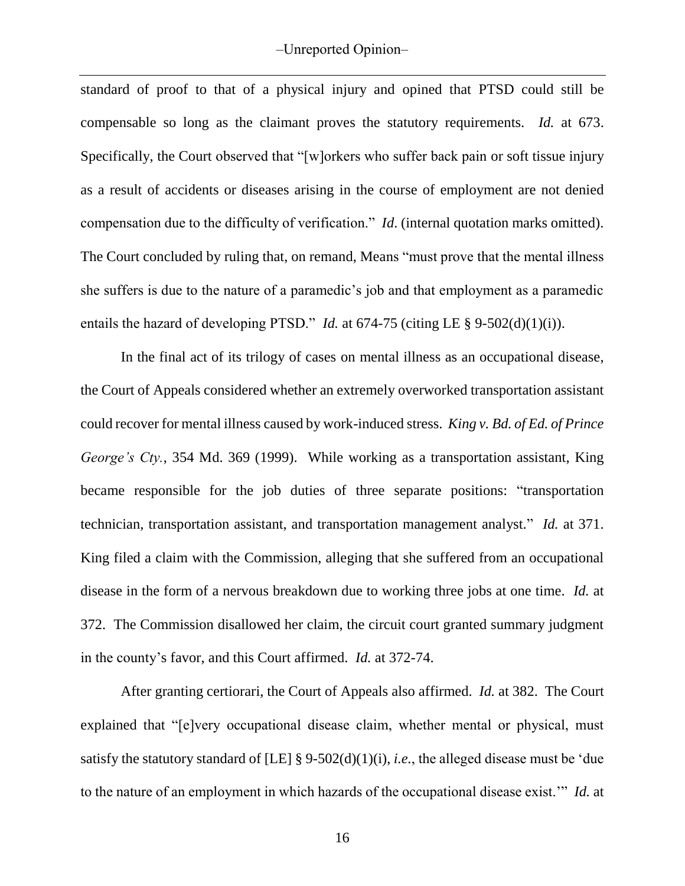standard of proof to that of a physical injury and opined that PTSD could still be compensable so long as the claimant proves the statutory requirements. *Id.* at 673. Specifically, the Court observed that "[w]orkers who suffer back pain or soft tissue injury as a result of accidents or diseases arising in the course of employment are not denied compensation due to the difficulty of verification." *Id*. (internal quotation marks omitted). The Court concluded by ruling that, on remand, Means "must prove that the mental illness she suffers is due to the nature of a paramedic's job and that employment as a paramedic entails the hazard of developing PTSD." *Id.* at 674-75 (citing LE § 9-502(d)(1)(i)).

In the final act of its trilogy of cases on mental illness as an occupational disease, the Court of Appeals considered whether an extremely overworked transportation assistant could recover for mental illness caused by work-induced stress. *King v. Bd. of Ed. of Prince George's Cty.*, 354 Md. 369 (1999). While working as a transportation assistant, King became responsible for the job duties of three separate positions: "transportation technician, transportation assistant, and transportation management analyst." *Id.* at 371. King filed a claim with the Commission, alleging that she suffered from an occupational disease in the form of a nervous breakdown due to working three jobs at one time. *Id.* at 372. The Commission disallowed her claim, the circuit court granted summary judgment in the county's favor, and this Court affirmed. *Id.* at 372-74.

After granting certiorari, the Court of Appeals also affirmed. *Id.* at 382. The Court explained that "[e]very occupational disease claim, whether mental or physical, must satisfy the statutory standard of [LE] § 9-502(d)(1)(i), *i.e.*, the alleged disease must be 'due to the nature of an employment in which hazards of the occupational disease exist.'" *Id.* at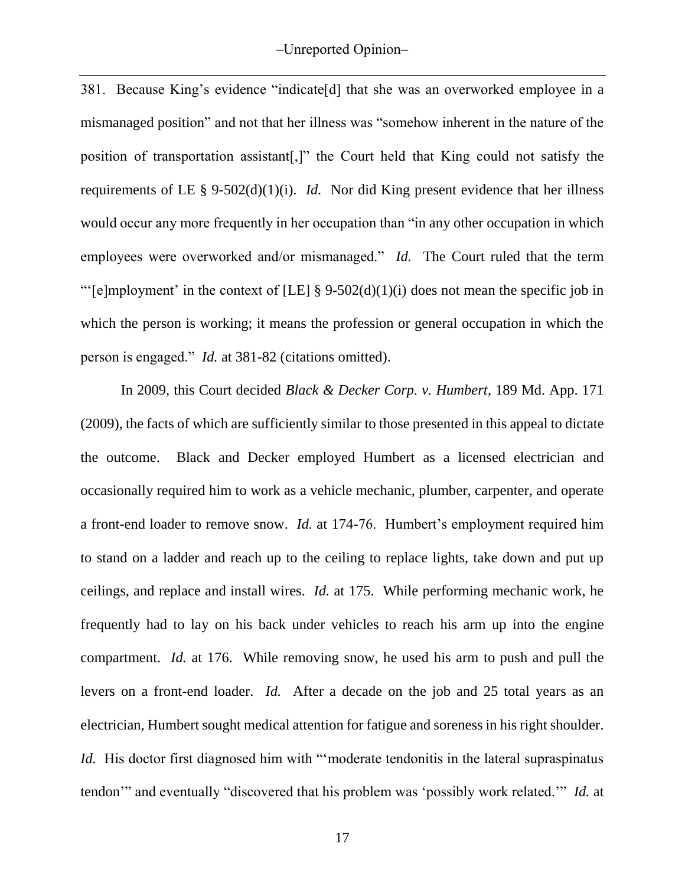381. Because King's evidence "indicate[d] that she was an overworked employee in a mismanaged position" and not that her illness was "somehow inherent in the nature of the position of transportation assistant[,]" the Court held that King could not satisfy the requirements of LE  $\S$  9-502(d)(1)(i). *Id.* Nor did King present evidence that her illness would occur any more frequently in her occupation than "in any other occupation in which employees were overworked and/or mismanaged." *Id.* The Court ruled that the term "'[e]mployment' in the context of [LE] § 9-502(d)(1)(i) does not mean the specific job in which the person is working; it means the profession or general occupation in which the person is engaged." *Id.* at 381-82 (citations omitted).

In 2009, this Court decided *Black & Decker Corp. v. Humbert*, 189 Md. App. 171 (2009), the facts of which are sufficiently similar to those presented in this appeal to dictate the outcome. Black and Decker employed Humbert as a licensed electrician and occasionally required him to work as a vehicle mechanic, plumber, carpenter, and operate a front-end loader to remove snow. *Id.* at 174-76. Humbert's employment required him to stand on a ladder and reach up to the ceiling to replace lights, take down and put up ceilings, and replace and install wires. *Id.* at 175. While performing mechanic work, he frequently had to lay on his back under vehicles to reach his arm up into the engine compartment. *Id.* at 176. While removing snow, he used his arm to push and pull the levers on a front-end loader. *Id.* After a decade on the job and 25 total years as an electrician, Humbert sought medical attention for fatigue and soreness in his right shoulder. *Id.* His doctor first diagnosed him with "moderate tendonitis in the lateral supraspinatus tendon'" and eventually "discovered that his problem was 'possibly work related.'" *Id.* at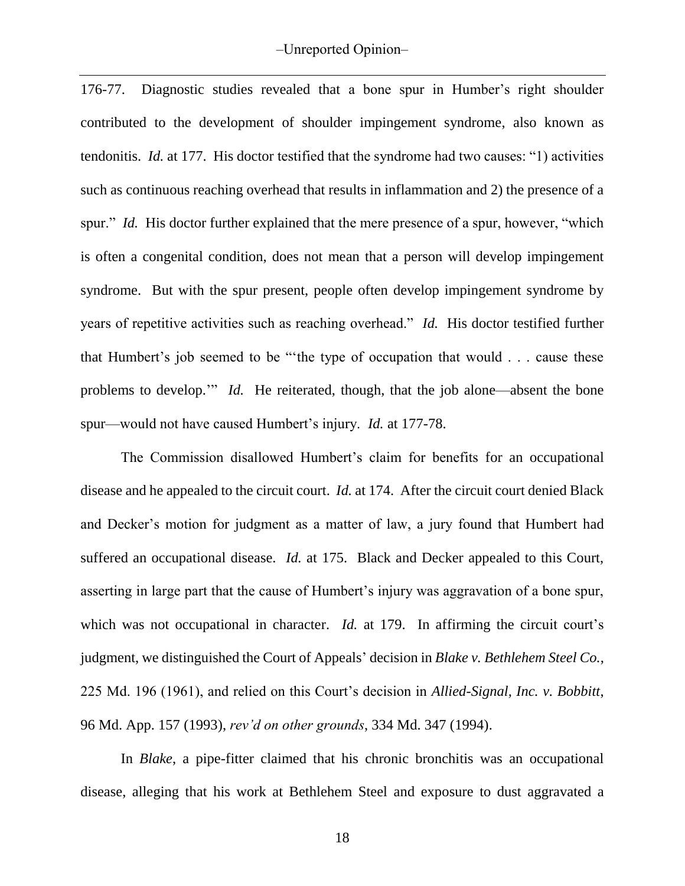176-77. Diagnostic studies revealed that a bone spur in Humber's right shoulder contributed to the development of shoulder impingement syndrome, also known as tendonitis. *Id.* at 177. His doctor testified that the syndrome had two causes: "1) activities such as continuous reaching overhead that results in inflammation and 2) the presence of a spur." *Id.* His doctor further explained that the mere presence of a spur, however, "which is often a congenital condition, does not mean that a person will develop impingement syndrome. But with the spur present, people often develop impingement syndrome by years of repetitive activities such as reaching overhead." *Id.* His doctor testified further that Humbert's job seemed to be "'the type of occupation that would . . . cause these problems to develop.'" *Id.* He reiterated, though, that the job alone—absent the bone spur—would not have caused Humbert's injury. *Id.* at 177-78.

The Commission disallowed Humbert's claim for benefits for an occupational disease and he appealed to the circuit court. *Id.* at 174. After the circuit court denied Black and Decker's motion for judgment as a matter of law, a jury found that Humbert had suffered an occupational disease. *Id.* at 175. Black and Decker appealed to this Court, asserting in large part that the cause of Humbert's injury was aggravation of a bone spur, which was not occupational in character. *Id.* at 179. In affirming the circuit court's judgment, we distinguished the Court of Appeals' decision in *Blake v. Bethlehem Steel Co.*, 225 Md. 196 (1961), and relied on this Court's decision in *Allied-Signal, Inc. v. Bobbitt*, 96 Md. App. 157 (1993), *rev'd on other grounds*, 334 Md. 347 (1994).

In *Blake*, a pipe-fitter claimed that his chronic bronchitis was an occupational disease, alleging that his work at Bethlehem Steel and exposure to dust aggravated a

18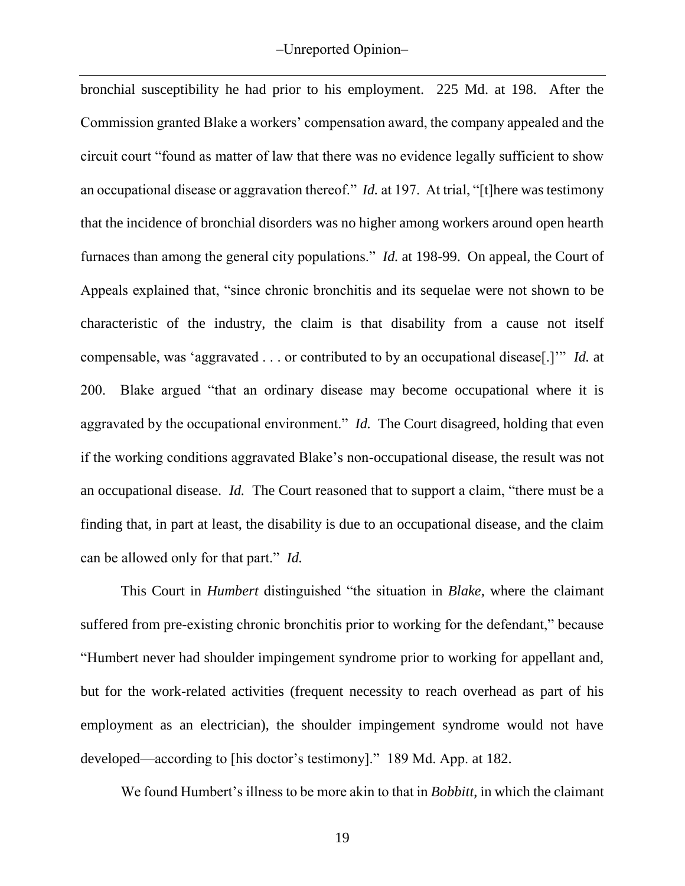bronchial susceptibility he had prior to his employment. 225 Md. at 198. After the Commission granted Blake a workers' compensation award, the company appealed and the circuit court "found as matter of law that there was no evidence legally sufficient to show an occupational disease or aggravation thereof." *Id.* at 197. At trial, "[t]here was testimony that the incidence of bronchial disorders was no higher among workers around open hearth furnaces than among the general city populations." *Id.* at 198-99. On appeal, the Court of Appeals explained that, "since chronic bronchitis and its sequelae were not shown to be characteristic of the industry, the claim is that disability from a cause not itself compensable, was 'aggravated . . . or contributed to by an occupational disease[.]'" *Id.* at 200. Blake argued "that an ordinary disease may become occupational where it is aggravated by the occupational environment." *Id.* The Court disagreed, holding that even if the working conditions aggravated Blake's non-occupational disease, the result was not an occupational disease. *Id.* The Court reasoned that to support a claim, "there must be a finding that, in part at least, the disability is due to an occupational disease, and the claim can be allowed only for that part." *Id.* 

This Court in *Humbert* distinguished "the situation in *Blake*, where the claimant suffered from pre-existing chronic bronchitis prior to working for the defendant," because "Humbert never had shoulder impingement syndrome prior to working for appellant and, but for the work-related activities (frequent necessity to reach overhead as part of his employment as an electrician), the shoulder impingement syndrome would not have developed—according to [his doctor's testimony]." 189 Md. App. at 182.

We found Humbert's illness to be more akin to that in *Bobbitt*, in which the claimant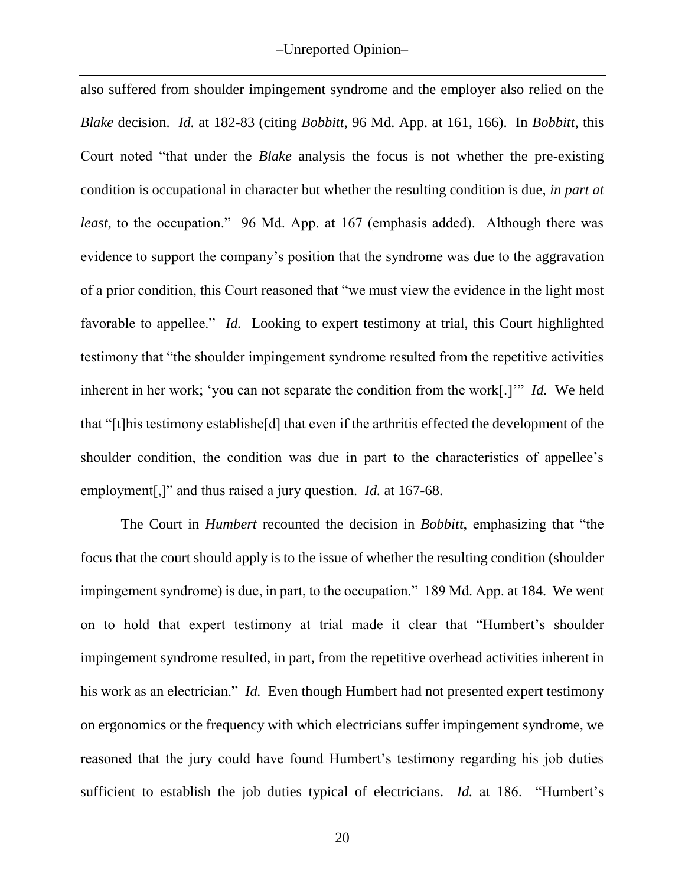also suffered from shoulder impingement syndrome and the employer also relied on the *Blake* decision. *Id.* at 182-83 (citing *Bobbitt*, 96 Md. App. at 161, 166). In *Bobbitt*, this Court noted "that under the *Blake* analysis the focus is not whether the pre-existing condition is occupational in character but whether the resulting condition is due, *in part at least*, to the occupation." 96 Md. App. at 167 (emphasis added). Although there was evidence to support the company's position that the syndrome was due to the aggravation of a prior condition, this Court reasoned that "we must view the evidence in the light most favorable to appellee." *Id.* Looking to expert testimony at trial, this Court highlighted testimony that "the shoulder impingement syndrome resulted from the repetitive activities inherent in her work; 'you can not separate the condition from the work[.]'" *Id.* We held that "[t]his testimony establishe[d] that even if the arthritis effected the development of the shoulder condition, the condition was due in part to the characteristics of appellee's employment[,]" and thus raised a jury question. *Id.* at 167-68.

The Court in *Humbert* recounted the decision in *Bobbitt*, emphasizing that "the focus that the court should apply is to the issue of whether the resulting condition (shoulder impingement syndrome) is due, in part, to the occupation." 189 Md. App. at 184. We went on to hold that expert testimony at trial made it clear that "Humbert's shoulder impingement syndrome resulted, in part, from the repetitive overhead activities inherent in his work as an electrician." *Id.* Even though Humbert had not presented expert testimony on ergonomics or the frequency with which electricians suffer impingement syndrome, we reasoned that the jury could have found Humbert's testimony regarding his job duties sufficient to establish the job duties typical of electricians. *Id.* at 186. "Humbert's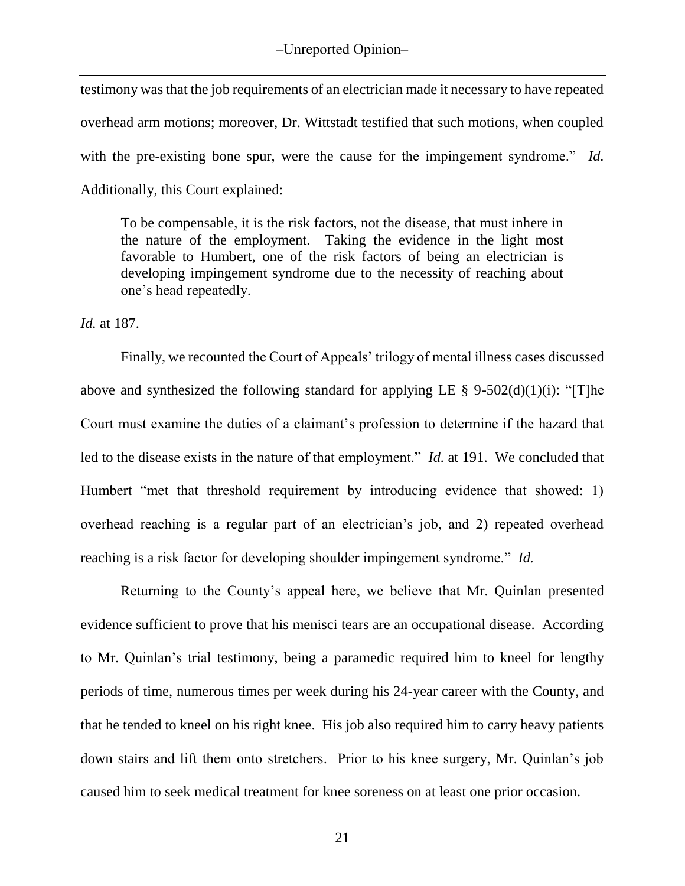testimony was that the job requirements of an electrician made it necessary to have repeated overhead arm motions; moreover, Dr. Wittstadt testified that such motions, when coupled with the pre-existing bone spur, were the cause for the impingement syndrome." *Id.* Additionally, this Court explained:

To be compensable, it is the risk factors, not the disease, that must inhere in the nature of the employment. Taking the evidence in the light most favorable to Humbert, one of the risk factors of being an electrician is developing impingement syndrome due to the necessity of reaching about one's head repeatedly.

*Id.* at 187.

Finally, we recounted the Court of Appeals' trilogy of mental illness cases discussed above and synthesized the following standard for applying LE  $\S$  9-502(d)(1)(i): "[T]he Court must examine the duties of a claimant's profession to determine if the hazard that led to the disease exists in the nature of that employment." *Id.* at 191. We concluded that Humbert "met that threshold requirement by introducing evidence that showed: 1) overhead reaching is a regular part of an electrician's job, and 2) repeated overhead reaching is a risk factor for developing shoulder impingement syndrome." *Id.*

Returning to the County's appeal here, we believe that Mr. Quinlan presented evidence sufficient to prove that his menisci tears are an occupational disease. According to Mr. Quinlan's trial testimony, being a paramedic required him to kneel for lengthy periods of time, numerous times per week during his 24-year career with the County, and that he tended to kneel on his right knee. His job also required him to carry heavy patients down stairs and lift them onto stretchers. Prior to his knee surgery, Mr. Quinlan's job caused him to seek medical treatment for knee soreness on at least one prior occasion.

21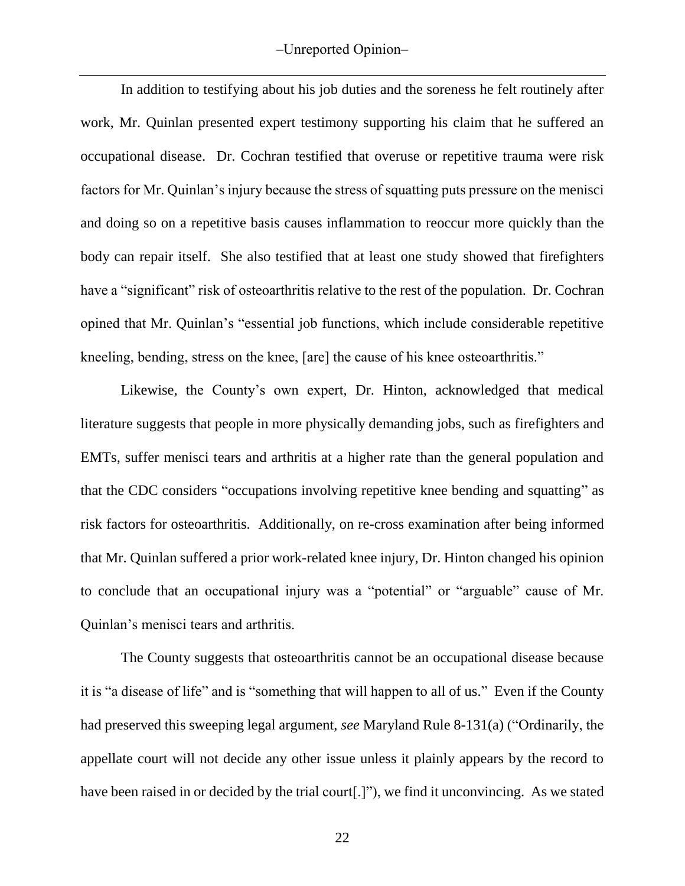In addition to testifying about his job duties and the soreness he felt routinely after work, Mr. Quinlan presented expert testimony supporting his claim that he suffered an occupational disease. Dr. Cochran testified that overuse or repetitive trauma were risk factors for Mr. Quinlan's injury because the stress of squatting puts pressure on the menisci and doing so on a repetitive basis causes inflammation to reoccur more quickly than the body can repair itself. She also testified that at least one study showed that firefighters have a "significant" risk of osteoarthritis relative to the rest of the population.Dr. Cochran opined that Mr. Quinlan's "essential job functions, which include considerable repetitive kneeling, bending, stress on the knee, [are] the cause of his knee osteoarthritis."

Likewise, the County's own expert, Dr. Hinton, acknowledged that medical literature suggests that people in more physically demanding jobs, such as firefighters and EMTs, suffer menisci tears and arthritis at a higher rate than the general population and that the CDC considers "occupations involving repetitive knee bending and squatting" as risk factors for osteoarthritis. Additionally, on re-cross examination after being informed that Mr. Quinlan suffered a prior work-related knee injury, Dr. Hinton changed his opinion to conclude that an occupational injury was a "potential" or "arguable" cause of Mr. Quinlan's menisci tears and arthritis.

The County suggests that osteoarthritis cannot be an occupational disease because it is "a disease of life" and is "something that will happen to all of us." Even if the County had preserved this sweeping legal argument, *see* Maryland Rule 8-131(a) ("Ordinarily, the appellate court will not decide any other issue unless it plainly appears by the record to have been raised in or decided by the trial court[.]"), we find it unconvincing. As we stated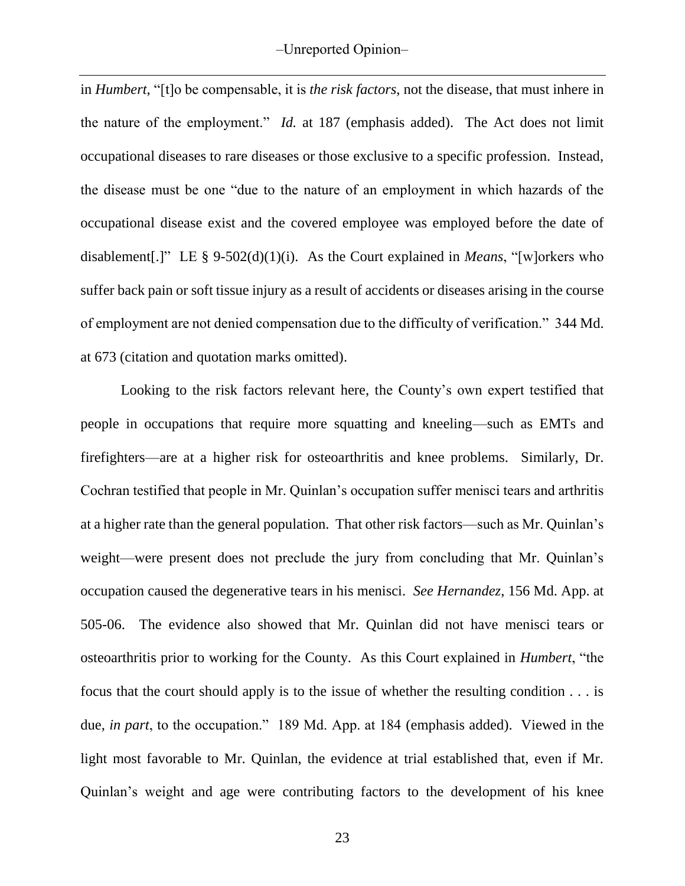in *Humbert*, "[t]o be compensable, it is *the risk factors*, not the disease, that must inhere in the nature of the employment." *Id.* at 187 (emphasis added). The Act does not limit occupational diseases to rare diseases or those exclusive to a specific profession. Instead, the disease must be one "due to the nature of an employment in which hazards of the occupational disease exist and the covered employee was employed before the date of disablement[.]" LE § 9-502(d)(1)(i). As the Court explained in *Means*, "[w]orkers who suffer back pain or soft tissue injury as a result of accidents or diseases arising in the course of employment are not denied compensation due to the difficulty of verification." 344 Md. at 673 (citation and quotation marks omitted).

Looking to the risk factors relevant here, the County's own expert testified that people in occupations that require more squatting and kneeling—such as EMTs and firefighters—are at a higher risk for osteoarthritis and knee problems. Similarly, Dr. Cochran testified that people in Mr. Quinlan's occupation suffer menisci tears and arthritis at a higher rate than the general population. That other risk factors—such as Mr. Quinlan's weight—were present does not preclude the jury from concluding that Mr. Quinlan's occupation caused the degenerative tears in his menisci. *See Hernandez*, 156 Md. App. at 505-06. The evidence also showed that Mr. Quinlan did not have menisci tears or osteoarthritis prior to working for the County. As this Court explained in *Humbert*, "the focus that the court should apply is to the issue of whether the resulting condition . . . is due, *in part*, to the occupation." 189 Md. App. at 184 (emphasis added). Viewed in the light most favorable to Mr. Quinlan, the evidence at trial established that, even if Mr. Quinlan's weight and age were contributing factors to the development of his knee